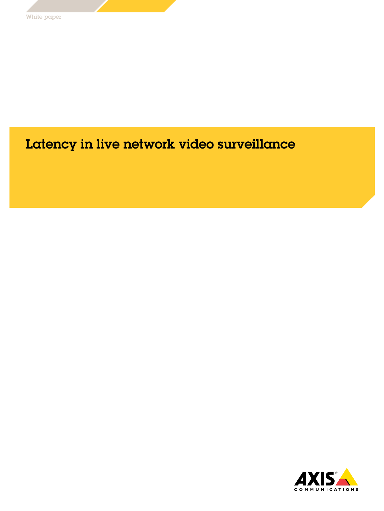# Latency in live network video surveillance

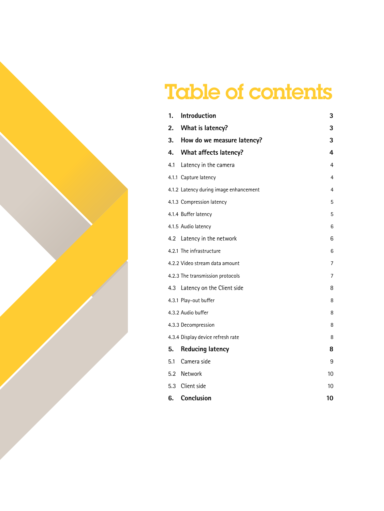# Table of contents

| 1.                                     | Introduction                           | 3  |  |  |  |
|----------------------------------------|----------------------------------------|----|--|--|--|
| 2.                                     | What is latency?                       | 3  |  |  |  |
| 3.                                     | How do we measure latency?             | 3  |  |  |  |
| 4.                                     | <b>What affects latency?</b>           | 4  |  |  |  |
| 4.1                                    | Latency in the camera                  | 4  |  |  |  |
|                                        | 4.1.1 Capture latency<br>4             |    |  |  |  |
|                                        | 4.1.2 Latency during image enhancement | 4  |  |  |  |
|                                        | 4.1.3 Compression latency              | 5  |  |  |  |
|                                        | 4.1.4 Buffer latency                   | 5  |  |  |  |
|                                        | 4.1.5 Audio latency                    | 6  |  |  |  |
| 4.2                                    | Latency in the network                 | 6  |  |  |  |
|                                        | 4.2.1 The infrastructure               | 6  |  |  |  |
|                                        | 4.2.2 Video stream data amount         | 7  |  |  |  |
|                                        | 4.2.3 The transmission protocols       | 7  |  |  |  |
| 4.3                                    | Latency on the Client side             | 8  |  |  |  |
|                                        | 4.3.1 Play-out buffer                  | 8  |  |  |  |
|                                        | 4.3.2 Audio buffer                     | 8  |  |  |  |
|                                        | 4.3.3 Decompression                    | 8  |  |  |  |
| 4.3.4 Display device refresh rate<br>8 |                                        |    |  |  |  |
| 5.                                     | <b>Reducing latency</b>                | 8  |  |  |  |
| 5.1                                    | Camera side                            | 9  |  |  |  |
| 5.2                                    | Network                                | 10 |  |  |  |
| 5.3                                    | Client side                            | 10 |  |  |  |
| 6.                                     | Conclusion                             | 10 |  |  |  |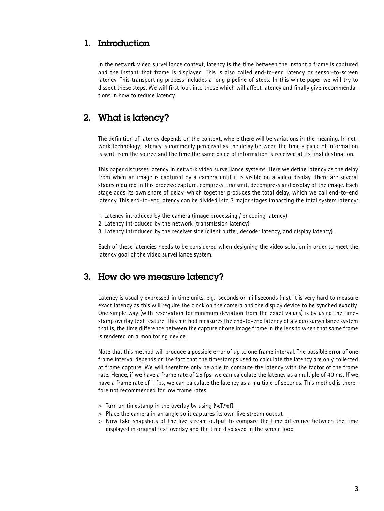## 1. Introduction

In the network video surveillance context, latency is the time between the instant a frame is captured and the instant that frame is displayed. This is also called end-to-end latency or sensor-to-screen latency. This transporting process includes a long pipeline of steps. In this white paper we will try to dissect these steps. We will first look into those which will affect latency and finally give recommendations in how to reduce latency.

## 2. What is latency?

The definition of latency depends on the context, where there will be variations in the meaning. In network technology, latency is commonly perceived as the delay between the time a piece of information is sent from the source and the time the same piece of information is received at its final destination.

This paper discusses latency in network video surveillance systems. Here we define latency as the delay from when an image is captured by a camera until it is visible on a video display. There are several stages required in this process: capture, compress, transmit, decompress and display of the image. Each stage adds its own share of delay, which together produces the total delay, which we call end-to-end latency. This end-to-end latency can be divided into 3 major stages impacting the total system latency:

- 1. Latency introduced by the camera (image processing / encoding latency)
- 2. Latency introduced by the network (transmission latency)
- 3. Latency introduced by the receiver side (client buffer, decoder latency, and display latency).

Each of these latencies needs to be considered when designing the video solution in order to meet the latency goal of the video surveillance system.

## 3. How do we measure latency?

Latency is usually expressed in time units, e.g., seconds or milliseconds (ms). It is very hard to measure exact latency as this will require the clock on the camera and the display device to be synched exactly. One simple way (with reservation for minimum deviation from the exact values) is by using the timestamp overlay text feature. This method measures the end-to-end latency of a video surveillance system that is, the time difference between the capture of one image frame in the lens to when that same frame is rendered on a monitoring device.

Note that this method will produce a possible error of up to one frame interval. The possible error of one frame interval depends on the fact that the timestamps used to calculate the latency are only collected at frame capture. We will therefore only be able to compute the latency with the factor of the frame rate. Hence, if we have a frame rate of 25 fps, we can calculate the latency as a multiple of 40 ms. If we have a frame rate of 1 fps, we can calculate the latency as a multiple of seconds. This method is therefore not recommended for low frame rates.

- > Turn on timestamp in the overlay by using (%T:%f)
- > Place the camera in an angle so it captures its own live stream output
- > Now take snapshots of the live stream output to compare the time difference between the time displayed in original text overlay and the time displayed in the screen loop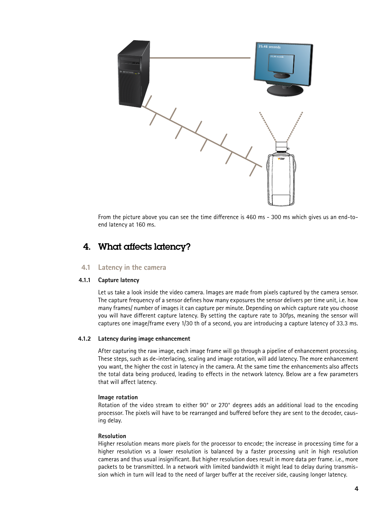

From the picture above you can see the time difference is 460 ms - 300 ms which gives us an end-toend latency at 160 ms.

## 4. What affects latency?

#### **4.1 Latency in the camera**

#### **4.1.1 Capture latency**

Let us take a look inside the video camera. Images are made from pixels captured by the camera sensor. The capture frequency of a sensor defines how many exposures the sensor delivers per time unit, i.e. how many frames/ number of images it can capture per minute. Depending on which capture rate you choose you will have different capture latency. By setting the capture rate to 30fps, meaning the sensor will captures one image/frame every 1/30 th of a second, you are introducing a capture latency of 33.3 ms.

#### **4.1.2 Latency during image enhancement**

After capturing the raw image, each image frame will go through a pipeline of enhancement processing. These steps, such as de-interlacing, scaling and image rotation, will add latency. The more enhancement you want, the higher the cost in latency in the camera. At the same time the enhancements also affects the total data being produced, leading to effects in the network latency. Below are a few parameters that will affect latency.

#### **Image rotation**

Rotation of the video stream to either 90° or 270° degrees adds an additional load to the encoding processor. The pixels will have to be rearranged and buffered before they are sent to the decoder, causing delay.

#### **Resolution**

Higher resolution means more pixels for the processor to encode; the increase in processing time for a higher resolution vs a lower resolution is balanced by a faster processing unit in high resolution cameras and thus usual insignificant. But higher resolution does result in more data per frame. i.e., more packets to be transmitted. In a network with limited bandwidth it might lead to delay during transmission which in turn will lead to the need of larger buffer at the receiver side, causing longer latency.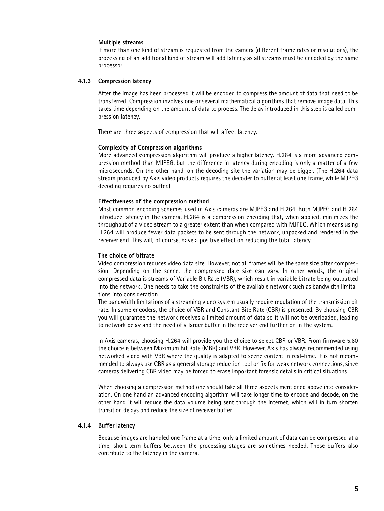#### **Multiple streams**

If more than one kind of stream is requested from the camera (different frame rates or resolutions), the processing of an additional kind of stream will add latency as all streams must be encoded by the same processor.

#### **4.1.3 Compression latency**

After the image has been processed it will be encoded to compress the amount of data that need to be transferred. Compression involves one or several mathematical algorithms that remove image data. This takes time depending on the amount of data to process. The delay introduced in this step is called compression latency.

There are three aspects of compression that will affect latency.

#### **Complexity of Compression algorithms**

More advanced compression algorithm will produce a higher latency. H.264 is a more advanced compression method than MJPEG, but the difference in latency during encoding is only a matter of a few microseconds. On the other hand, on the decoding site the variation may be bigger. (The H.264 data stream produced by Axis video products requires the decoder to buffer at least one frame, while MJPEG decoding requires no buffer.)

#### **Effectiveness of the compression method**

Most common encoding schemes used in Axis cameras are MJPEG and H.264. Both MJPEG and H.264 introduce latency in the camera. H.264 is a compression encoding that, when applied, minimizes the throughput of a video stream to a greater extent than when compared with MJPEG. Which means using H.264 will produce fewer data packets to be sent through the network, unpacked and rendered in the receiver end. This will, of course, have a positive effect on reducing the total latency.

#### **The choice of bitrate**

Video compression reduces video data size. However, not all frames will be the same size after compression. Depending on the scene, the compressed date size can vary. In other words, the original compressed data is streams of Variable Bit Rate (VBR), which result in variable bitrate being outputted into the network. One needs to take the constraints of the available network such as bandwidth limitations into consideration.

The bandwidth limitations of a streaming video system usually require regulation of the transmission bit rate. In some encoders, the choice of VBR and Constant Bite Rate (CBR) is presented. By choosing CBR you will guarantee the network receives a limited amount of data so it will not be overloaded, leading to network delay and the need of a larger buffer in the receiver end further on in the system.

In Axis cameras, choosing H.264 will provide you the choice to select CBR or VBR. From firmware 5.60 the choice is between Maximum Bit Rate (MBR) and VBR. However, Axis has always recommended using networked video with VBR where the quality is adapted to scene content in real-time. It is not recommended to always use CBR as a general storage reduction tool or fix for weak network connections, since cameras delivering CBR video may be forced to erase important forensic details in critical situations.

When choosing a compression method one should take all three aspects mentioned above into consideration. On one hand an advanced encoding algorithm will take longer time to encode and decode, on the other hand it will reduce the data volume being sent through the internet, which will in turn shorten transition delays and reduce the size of receiver buffer.

#### **4.1.4 Buffer latency**

Because images are handled one frame at a time, only a limited amount of data can be compressed at a time, short-term buffers between the processing stages are sometimes needed. These buffers also contribute to the latency in the camera.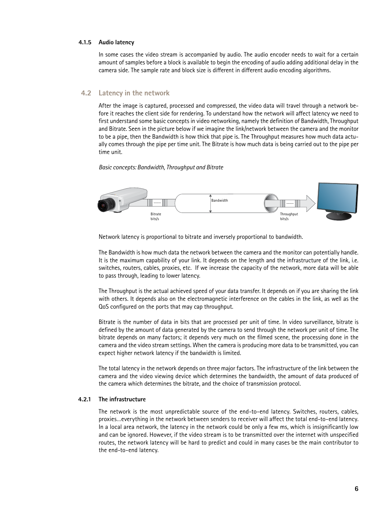#### **4.1.5 Audio latency**

In some cases the video stream is accompanied by audio. The audio encoder needs to wait for a certain amount of samples before a block is available to begin the encoding of audio adding additional delay in the camera side. The sample rate and block size is different in different audio encoding algorithms.

#### **4.2 Latency in the network**

After the image is captured, processed and compressed, the video data will travel through a network before it reaches the client side for rendering. To understand how the network will affect latency we need to first understand some basic concepts in video networking, namely the definition of Bandwidth, Throughput and Bitrate. Seen in the picture below if we imagine the link/network between the camera and the monitor to be a pipe, then the Bandwidth is how thick that pipe is. The Throughput measures how much data actually comes through the pipe per time unit. The Bitrate is how much data is being carried out to the pipe per time unit.

#### *Basic concepts: Bandwidth, Throughput and Bitrate*



Network latency is proportional to bitrate and inversely proportional to bandwidth.

The Bandwidth is how much data the network between the camera and the monitor can potentially handle. It is the maximum capability of your link. It depends on the length and the infrastructure of the link, i.e. switches, routers, cables, proxies, etc. If we increase the capacity of the network, more data will be able to pass through, leading to lower latency.

The Throughput is the actual achieved speed of your data transfer. It depends on if you are sharing the link with others. It depends also on the electromagnetic interference on the cables in the link, as well as the QoS configured on the ports that may cap throughput.

Bitrate is the number of data in bits that are processed per unit of time. In video surveillance, bitrate is defined by the amount of data generated by the camera to send through the network per unit of time. The bitrate depends on many factors; it depends very much on the filmed scene, the processing done in the camera and the video stream settings. When the camera is producing more data to be transmitted, you can expect higher network latency if the bandwidth is limited.

The total latency in the network depends on three major factors. The infrastructure of the link between the camera and the video viewing device which determines the bandwidth, the amount of data produced of the camera which determines the bitrate, and the choice of transmission protocol.

#### **4.2.1 The infrastructure**

The network is the most unpredictable source of the end-to-end latency. Switches, routers, cables, proxies…everything in the network between senders to receiver will affect the total end-to-end latency. In a local area network, the latency in the network could be only a few ms, which is insignificantly low and can be ignored. However, if the video stream is to be transmitted over the internet with unspecified routes, the network latency will be hard to predict and could in many cases be the main contributor to the end-to-end latency.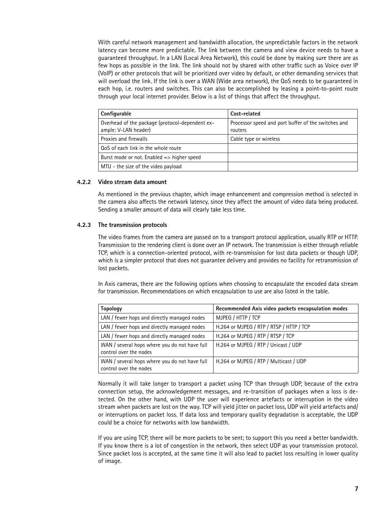With careful network management and bandwidth allocation, the unpredictable factors in the network latency can become more predictable. The link between the camera and view device needs to have a guaranteed throughput. In a LAN (Local Area Network), this could be done by making sure there are as few hops as possible in the link. The link should not by shared with other traffic such as Voice over IP (VoIP) or other protocols that will be prioritized over video by default, or other demanding services that will overload the link. If the link is over a WAN (Wide area network), the QoS needs to be guaranteed in each hop, i.e. routers and switches. This can also be accomplished by leasing a point-to-point route through your local internet provider. Below is a list of things that affect the throughput.

| Configurable                                                            | Cost-related                                                   |
|-------------------------------------------------------------------------|----------------------------------------------------------------|
| Overhead of the package (protocol-dependent ex-<br>ample: V-LAN header) | Processor speed and port buffer of the switches and<br>routers |
| Proxies and firewalls                                                   | Cable type or wireless                                         |
| QoS of each link in the whole route                                     |                                                                |
| Burst mode or not. Enabled $\Rightarrow$ higher speed                   |                                                                |
| MTU - the size of the video payload                                     |                                                                |

#### **4.2.2 Video stream data amount**

As mentioned in the previous chapter, which image enhancement and compression method is selected in the camera also affects the network latency, since they affect the amount of video data being produced. Sending a smaller amount of data will clearly take less time.

#### **4.2.3 The transmission protocols**

The video frames from the camera are passed on to a transport protocol application, usually RTP or HTTP. Transmission to the rendering client is done over an IP network. The transmission is either through reliable TCP, which is a connection-oriented protocol, with re-transmission for lost data packets or though UDP, which is a simpler protocol that does not guarantee delivery and provides no facility for retransmission of lost packets.

In Axis cameras, there are the following options when choosing to encapsulate the encoded data stream for transmission. Recommendations on which encapsulation to use are also listed in the table.

| <b>Topology</b>                                                         | Recommended Axis video packets encapsulation modes |
|-------------------------------------------------------------------------|----------------------------------------------------|
| LAN / fewer hops and directly managed nodes                             | MJPEG / HTTP / TCP                                 |
| LAN / fewer hops and directly managed nodes                             | H.264 or MJPEG / RTP / RTSP / HTTP / TCP           |
| LAN / fewer hops and directly managed nodes                             | H.264 or MJPEG / RTP / RTSP / TCP                  |
| WAN / several hops where you do not have full<br>control over the nodes | H.264 or MJPEG / RTP / Unicast / UDP               |
| WAN / several hops where you do not have full<br>control over the nodes | H.264 or MJPEG / RTP / Multicast / UDP             |

Normally it will take longer to transport a packet using TCP than through UDP, because of the extra connection setup, the acknowledgement messages, and re-transition of packages when a loss is detected. On the other hand, with UDP the user will experience artefacts or interruption in the video stream when packets are lost on the way. TCP will yield jitter on packet loss, UDP will yield artefacts and/ or interruptions on packet loss. If data loss and temporary quality degradation is acceptable, the UDP could be a choice for networks with low bandwidth.

If you are using TCP, there will be more packets to be sent; to support this you need a better bandwidth. If you know there is a lot of congestion in the network, then select UDP as your transmission protocol. Since packet loss is accepted, at the same time it will also lead to packet loss resulting in lower quality of image.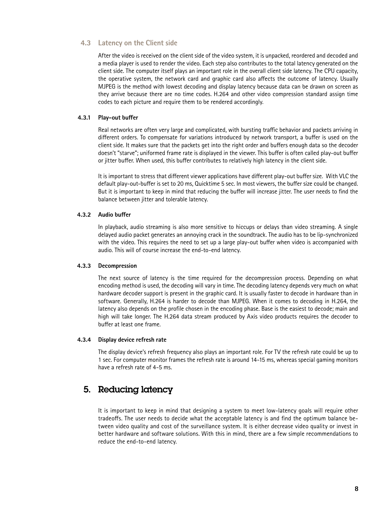#### **4.3 Latency on the Client side**

After the video is received on the client side of the video system, it is unpacked, reordered and decoded and a media player is used to render the video. Each step also contributes to the total latency generated on the client side. The computer itself plays an important role in the overall client side latency. The CPU capacity, the operative system, the network card and graphic card also affects the outcome of latency. Usually MJPEG is the method with lowest decoding and display latency because data can be drawn on screen as they arrive because there are no time codes. H.264 and other video compression standard assign time codes to each picture and require them to be rendered accordingly.

#### **4.3.1 Play-out buffer**

Real networks are often very large and complicated, with bursting traffic behavior and packets arriving in different orders. To compensate for variations introduced by network transport, a buffer is used on the client side. It makes sure that the packets get into the right order and buffers enough data so the decoder doesn't "starve"; uniformed frame rate is displayed in the viewer. This buffer is often called play-out buffer or jitter buffer. When used, this buffer contributes to relatively high latency in the client side.

It is important to stress that different viewer applications have different play-out buffer size. With VLC the default play-out-buffer is set to 20 ms, Quicktime 5 sec. In most viewers, the buffer size could be changed. But it is important to keep in mind that reducing the buffer will increase jitter. The user needs to find the balance between jitter and tolerable latency.

#### **4.3.2 Audio buffer**

In playback, audio streaming is also more sensitive to hiccups or delays than video streaming. A single delayed audio packet generates an annoying crack in the soundtrack. The audio has to be lip-synchronized with the video. This requires the need to set up a large play-out buffer when video is accompanied with audio. This will of course increase the end-to-end latency.

#### **4.3.3 Decompression**

The next source of latency is the time required for the decompression process. Depending on what encoding method is used, the decoding will vary in time. The decoding latency depends very much on what hardware decoder support is present in the graphic card. It is usually faster to decode in hardware than in software. Generally, H.264 is harder to decode than MJPEG. When it comes to decoding in H.264, the latency also depends on the profile chosen in the encoding phase. Base is the easiest to decode; main and high will take longer. The H.264 data stream produced by Axis video products requires the decoder to buffer at least one frame.

#### **4.3.4 Display device refresh rate**

The display device's refresh frequency also plays an important role. For TV the refresh rate could be up to 1 sec. For computer monitor frames the refresh rate is around 14-15 ms, whereas special gaming monitors have a refresh rate of 4-5 ms.

## 5. Reducing latency

It is important to keep in mind that designing a system to meet low-latency goals will require other tradeoffs. The user needs to decide what the acceptable latency is and find the optimum balance between video quality and cost of the surveillance system. It is either decrease video quality or invest in better hardware and software solutions. With this in mind, there are a few simple recommendations to reduce the end-to-end latency.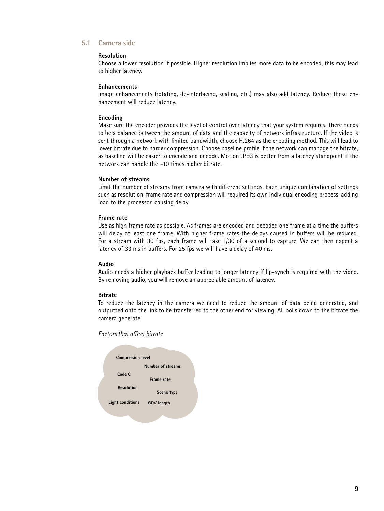#### **5.1 Camera side**

#### **Resolution**

Choose a lower resolution if possible. Higher resolution implies more data to be encoded, this may lead to higher latency.

#### **Enhancements**

Image enhancements (rotating, de-interlacing, scaling, etc.) may also add latency. Reduce these enhancement will reduce latency.

#### **Encoding**

Make sure the encoder provides the level of control over latency that your system requires. There needs to be a balance between the amount of data and the capacity of network infrastructure. If the video is sent through a network with limited bandwidth, choose H.264 as the encoding method. This will lead to lower bitrate due to harder compression. Choose baseline profile if the network can manage the bitrate, as baseline will be easier to encode and decode. Motion JPEG is better from a latency standpoint if the network can handle the  $~10$  times higher bitrate.

#### **Number of streams**

Limit the number of streams from camera with different settings. Each unique combination of settings such as resolution, frame rate and compression will required its own individual encoding process, adding load to the processor, causing delay.

#### **Frame rate**

Use as high frame rate as possible. As frames are encoded and decoded one frame at a time the buffers will delay at least one frame. With higher frame rates the delays caused in buffers will be reduced. For a stream with 30 fps, each frame will take 1/30 of a second to capture. We can then expect a latency of 33 ms in buffers. For 25 fps we will have a delay of 40 ms.

#### **Audio**

Audio needs a higher playback buffer leading to longer latency if lip-synch is required with the video. By removing audio, you will remove an appreciable amount of latency.

#### **Bitrate**

To reduce the latency in the camera we need to reduce the amount of data being generated, and outputted onto the link to be transferred to the other end for viewing. All boils down to the bitrate the camera generate.

*Factors that affect bitrate*

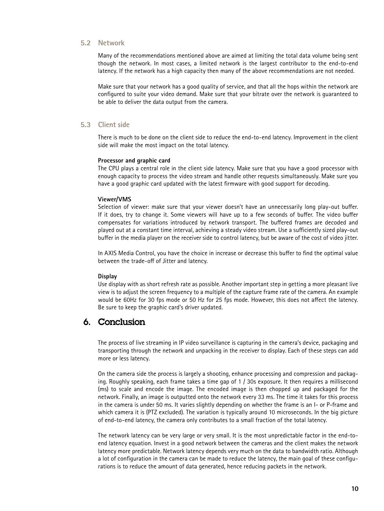#### **5.2 Network**

Many of the recommendations mentioned above are aimed at limiting the total data volume being sent though the network. In most cases, a limited network is the largest contributor to the end-to-end latency. If the network has a high capacity then many of the above recommendations are not needed.

Make sure that your network has a good quality of service, and that all the hops within the network are configured to suite your video demand. Make sure that your bitrate over the network is guaranteed to be able to deliver the data output from the camera.

#### **5.3 Client side**

There is much to be done on the client side to reduce the end-to-end latency. Improvement in the client side will make the most impact on the total latency.

#### **Processor and graphic card**

The CPU plays a central role in the client side latency. Make sure that you have a good processor with enough capacity to process the video stream and handle other requests simultaneously. Make sure you have a good graphic card updated with the latest firmware with good support for decoding.

#### **Viewer/VMS**

Selection of viewer: make sure that your viewer doesn't have an unnecessarily long play-out buffer. If it does, try to change it. Some viewers will have up to a few seconds of buffer. The video buffer compensates for variations introduced by network transport. The buffered frames are decoded and played out at a constant time interval, achieving a steady video stream. Use a sufficiently sized play-out buffer in the media player on the receiver side to control latency, but be aware of the cost of video jitter.

In AXIS Media Control, you have the choice in increase or decrease this buffer to find the optimal value between the trade-off of Jitter and latency.

#### **Display**

Use display with as short refresh rate as possible. Another important step in getting a more pleasant live view is to adjust the screen frequency to a multiple of the capture frame rate of the camera. An example would be 60Hz for 30 fps mode or 50 Hz for 25 fps mode. However, this does not affect the latency. Be sure to keep the graphic card's driver updated.

## 6. Conclusion

The process of live streaming in IP video surveillance is capturing in the camera's device, packaging and transporting through the network and unpacking in the receiver to display. Each of these steps can add more or less latency.

On the camera side the process is largely a shooting, enhance processing and compression and packaging. Roughly speaking, each frame takes a time gap of 1 / 30s exposure. It then requires a millisecond (ms) to scale and encode the image. The encoded image is then chopped up and packaged for the network. Finally, an image is outputted onto the network every 33 ms. The time it takes for this process in the camera is under 50 ms. It varies slightly depending on whether the frame is an I- or P-frame and which camera it is (PTZ excluded). The variation is typically around 10 microseconds. In the big picture of end-to-end latency, the camera only contributes to a small fraction of the total latency.

The network latency can be very large or very small. It is the most unpredictable factor in the end-toend latency equation. Invest in a good network between the cameras and the client makes the network latency more predictable. Network latency depends very much on the data to bandwidth ratio. Although a lot of configuration in the camera can be made to reduce the latency, the main goal of these configurations is to reduce the amount of data generated, hence reducing packets in the network.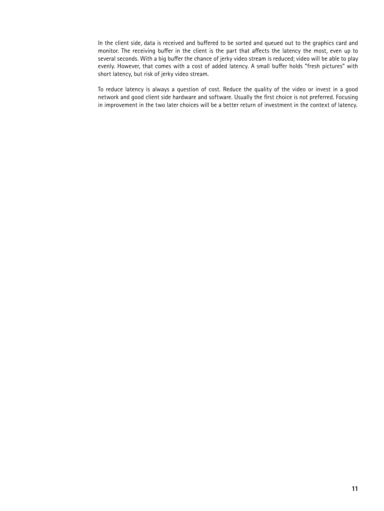In the client side, data is received and buffered to be sorted and queued out to the graphics card and monitor. The receiving buffer in the client is the part that affects the latency the most, even up to several seconds. With a big buffer the chance of jerky video stream is reduced; video will be able to play evenly. However, that comes with a cost of added latency. A small buffer holds "fresh pictures" with short latency, but risk of jerky video stream.

To reduce latency is always a question of cost. Reduce the quality of the video or invest in a good network and good client side hardware and software. Usually the first choice is not preferred. Focusing in improvement in the two later choices will be a better return of investment in the context of latency.